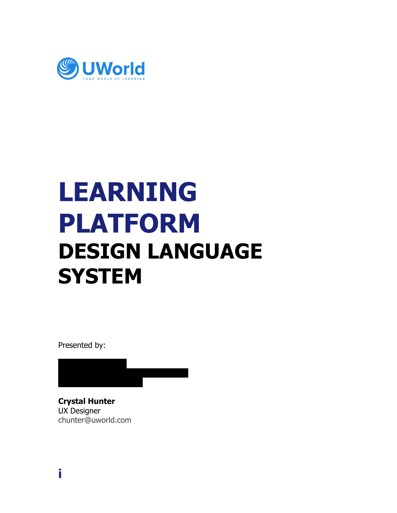

### **LEARNING PLATFORM DESIGN LANGUAGE SYSTEM**

Presented by:

**Crystal Hunter** UX Designer [chunter@uworld.com](mailto:chunter@uworld.com)

[wanderson@uworld.com](mailto:wanderson@uworld.com)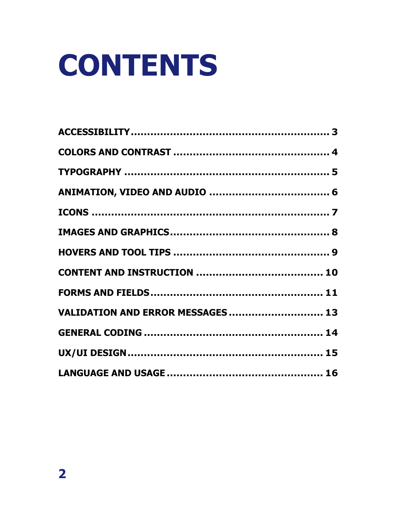# **CONTENTS**

| VALIDATION AND ERROR MESSAGES  13 |  |
|-----------------------------------|--|
|                                   |  |
|                                   |  |
|                                   |  |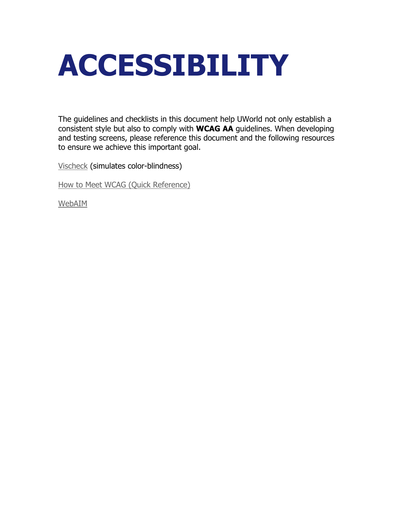### <span id="page-2-0"></span>**ACCESSIBILITY**

The guidelines and checklists in this document help UWorld not only establish a consistent style but also to comply with **WCAG AA** guidelines. When developing and testing screens, please reference this document and the following resources to ensure we achieve this important goal.

[Vischeck](http://www.vischeck.com/) (simulates color-blindness)

[How to Meet WCAG \(Quick Reference\)](https://www.w3.org/WAI/WCAG21/quickref/)

[WebAIM](https://webaim.org/)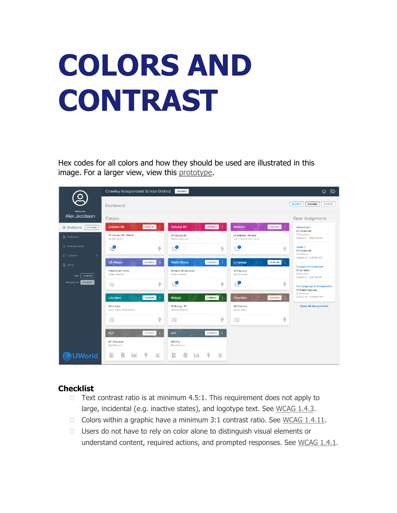# <span id="page-3-0"></span>**COLORS AND CONTRAST**

Hex codes for all colors and how they should be used are illustrated in this image. For a larger view, view this [prototype.](https://projects.invisionapp.com/share/ZQU5RNWFDCS#/screens/392656770_0-0_Student_-_Dashboard_V2_DETAILS)



- $\Box$  Text contrast ratio is at minimum 4.5:1. This requirement does not apply to large, incidental (e.g. inactive states), and logotype text. See [WCAG 1.4.3.](https://www.w3.org/WAI/WCAG21/quickref/#info-and-relationships)
- Colors within a graphic have a minimum 3:1 contrast ratio. See WCAG  $1.4.11$ .
- $\Box$  Users do not have to rely on color alone to distinguish visual elements or understand content, required actions, and prompted responses. See [WCAG 1.4.1.](https://www.w3.org/WAI/WCAG21/quickref/#info-and-relationships)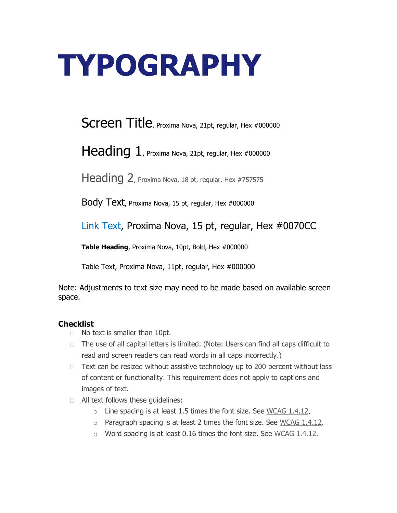### <span id="page-4-0"></span>**TYPOGRAPHY**

Screen Title, Proxima Nova, 21pt, regular, Hex #000000

Heading 1, Proxima Nova, 21pt, regular, Hex #000000

Heading 2, Proxima Nova, 18 pt, regular, Hex #757575

Body Text, Proxima Nova, 15 pt, regular, Hex #000000

Link Text, Proxima Nova, 15 pt, regular, Hex #0070CC

**Table Heading**, Proxima Nova, 10pt, Bold, Hex #000000

Table Text, Proxima Nova, 11pt, regular, Hex #000000

Note: Adjustments to text size may need to be made based on available screen space.

- □ No text is smaller than 10pt.
- $\Box$  The use of all capital letters is limited. (Note: Users can find all caps difficult to read and screen readers can read words in all caps incorrectly.)
- $\Box$  Text can be resized without assistive technology up to 200 percent without loss of content or functionality. This requirement does not apply to captions and images of text.
- **EXT** All text follows these quidelines:
	- $\circ$  Line spacing is at least 1.5 times the font size. See [WCAG 1.4.12.](https://www.w3.org/WAI/WCAG21/quickref/#images-of-text)
	- o Paragraph spacing is at least 2 times the font size. See [WCAG 1.4.12.](https://www.w3.org/WAI/WCAG21/quickref/#images-of-text)
	- o Word spacing is at least 0.16 times the font size. See [WCAG 1.4.12.](https://www.w3.org/WAI/WCAG21/quickref/#images-of-text)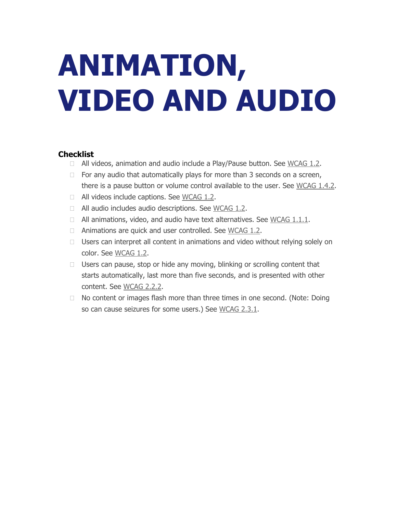# <span id="page-5-0"></span>**ANIMATION, VIDEO AND AUDIO**

- $\Box$  All videos, animation and audio include a Play/Pause button. See [WCAG 1.2.](https://www.w3.org/WAI/WCAG21/quickref/#images-of-text)
- $\Box$  For any audio that automatically plays for more than 3 seconds on a screen, there is a pause button or volume control available to the user. See [WCAG 1.4.2.](https://www.w3.org/WAI/WCAG21/quickref/#info-and-relationships)
- □ All videos include captions. See [WCAG 1.2.](https://www.w3.org/WAI/WCAG21/quickref/#images-of-text)
- □ All audio includes audio descriptions. See [WCAG 1.2.](https://www.w3.org/WAI/WCAG21/quickref/#images-of-text)
- $\Box$  All animations, video, and audio have text alternatives. See [WCAG 1.1.1.](https://www.w3.org/WAI/WCAG21/quickref/#images-of-text)
- $\Box$  Animations are quick and user controlled. See [WCAG 1.2.](https://www.w3.org/WAI/WCAG21/quickref/#images-of-text)
- □ Users can interpret all content in animations and video without relying solely on color. See [WCAG 1.2.](https://www.w3.org/WAI/WCAG21/quickref/#images-of-text)
- $\Box$  Users can pause, stop or hide any moving, blinking or scrolling content that starts automatically, last more than five seconds, and is presented with other content. See [WCAG 2.2.2.](https://www.w3.org/WAI/WCAG21/quickref/#keyboard-accessible)
- $\Box$  No content or images flash more than three times in one second. (Note: Doing so can cause seizures for some users.) See [WCAG 2.3.1.](https://www.w3.org/WAI/WCAG21/quickref/#keyboard-accessible)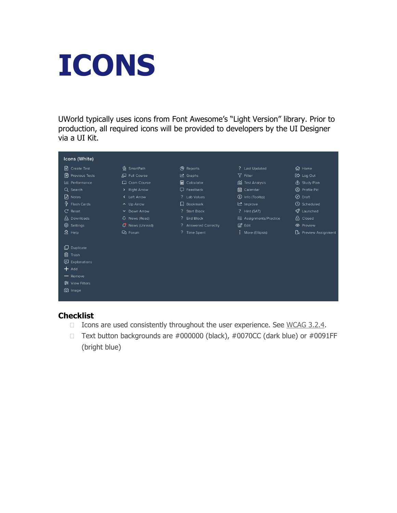### <span id="page-6-0"></span>**ICONS**

UWorld typically uses icons from Font Awesome's "Light Version" library. Prior to production, all required icons will be provided to developers by the UI Designer via a UI Kit.

| Icons (White)             |                 |                        |                         |                             |
|---------------------------|-----------------|------------------------|-------------------------|-----------------------------|
| 闿<br>Create Test          | Ka SmartPath    | ( <sup>9</sup> Reports | ? Last Updated          | 价 Home                      |
| <b>图 Previous Tests</b>   | Q Full Course   | 년 Graphs               | 了 Filter                | [ <t> Log Out</t>           |
| Lill Performance          | 口 Cram Course   | <b>ad</b> Calculator   | <b>ii</b> Test Analysis | dp Study Plan               |
| Q Search                  | > Right Arrow   | $\Box$ Feedback        | <b>in</b> Calendar      | ② Profile Pic               |
| ৸<br>Notes                | < Left Arrow    | ? Lab Values           | (i) Info (Tooltip)      | ⊘ Draft                     |
| $\frac{1}{2}$ Flash Cards | $\sim$ Up Arrow | <b>Q</b> Bookmark      | 년 Improve               | <b>①</b> Scheduled          |
| $C$ Reset                 | ▼ Down Arrow    | ? Start Block          | ? Hint (SAT)            | $\mathscr Q$ Launched       |
| <u>사</u> Downloads        | Q News (Read)   | ? End Block            | 经 Assignments/Practice  | A Closed                    |
| @ Settings                | News (Unread)   | ? Answered Correctly   | <b>Ø</b> Edit           | <b>E</b> Preview            |
| $2$ Help                  | Q Forum         | ? Time Spent           | : More (Ellipsis)       | <b>B</b> Preview Assignment |
|                           |                 |                        |                         |                             |
| Duplicate<br>口            |                 |                        |                         |                             |
| 侕<br>Trash                |                 |                        |                         |                             |
| <b>ロ</b> Explanations     |                 |                        |                         |                             |
| $+$ Add                   |                 |                        |                         |                             |
| - Remove                  |                 |                        |                         |                             |
| 意 View Filters            |                 |                        |                         |                             |
| O Image                   |                 |                        |                         |                             |
|                           |                 |                        |                         |                             |

- $\Box$  Icons are used consistently throughout the user experience. See [WCAG 3.2.4.](https://www.w3.org/WAI/WCAG21/quickref/#keyboard-accessible)
- Text button backgrounds are  $\#000000$  (black),  $\#0070CC$  (dark blue) or  $\#0091FF$ (bright blue)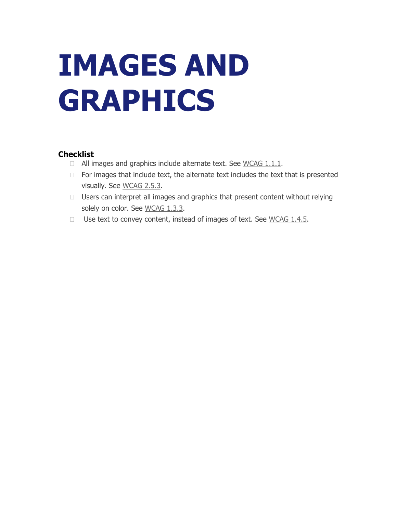## <span id="page-7-0"></span>**IMAGES AND GRAPHICS**

- $\Box$  All images and graphics include alternate text. See [WCAG 1.1.1.](https://www.w3.org/WAI/WCAG21/quickref/#text-alternatives)
- $\Box$  For images that include text, the alternate text includes the text that is presented visually. See [WCAG 2.5.3.](https://www.w3.org/WAI/WCAG21/quickref/#keyboard-accessible)
- $\Box$  Users can interpret all images and graphics that present content without relying solely on color. See [WCAG 1.3.3.](https://www.w3.org/WAI/WCAG21/quickref/#text-alternatives)
- $\Box$  Use text to convey content, instead of images of text. See [WCAG 1.4.5.](https://www.w3.org/WAI/WCAG21/quickref/#images-of-text)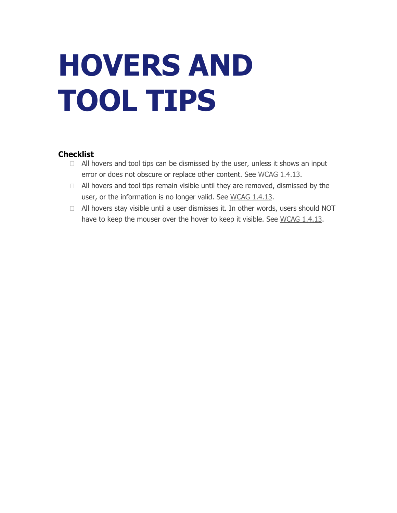# <span id="page-8-0"></span>**HOVERS AND TOOL TIPS**

- $\Box$  All hovers and tool tips can be dismissed by the user, unless it shows an input error or does not obscure or replace other content. See [WCAG 1.4.13.](https://www.w3.org/WAI/WCAG21/quickref/#images-of-text)
- $\Box$  All hovers and tool tips remain visible until they are removed, dismissed by the user, or the information is no longer valid. See [WCAG 1.4.13.](https://www.w3.org/WAI/WCAG21/quickref/#images-of-text)
- All hovers stay visible until a user dismisses it. In other words, users should NOT have to keep the mouser over the hover to keep it visible. See [WCAG 1.4.13.](https://www.w3.org/WAI/WCAG21/quickref/#images-of-text)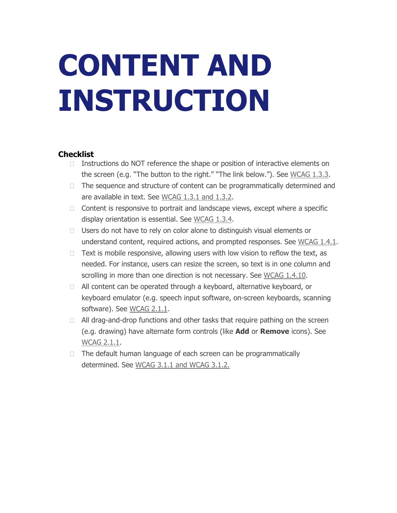## <span id="page-9-0"></span>**CONTENT AND INSTRUCTION**

- $\Box$  Instructions do NOT reference the shape or position of interactive elements on the screen (e.g. "The button to the right." "The link below."). See [WCAG 1.3.3.](https://www.w3.org/WAI/WCAG21/quickref/#info-and-relationships)
- $\Box$  The sequence and structure of content can be programmatically determined and are available in text. See [WCAG 1.3.1 and 1.3.2.](https://www.w3.org/WAI/WCAG21/quickref/#info-and-relationships)
- $\Box$  Content is responsive to portrait and landscape views, except where a specific display orientation is essential. See [WCAG 1.3.4.](https://www.w3.org/WAI/WCAG21/quickref/#info-and-relationships)
- $\Box$  Users do not have to rely on color alone to distinguish visual elements or understand content, required actions, and prompted responses. See [WCAG 1.4.1.](https://www.w3.org/WAI/WCAG21/quickref/#info-and-relationships)
- $\Box$  Text is mobile responsive, allowing users with low vision to reflow the text, as needed. For instance, users can resize the screen, so text is in one column and scrolling in more than one direction is not necessary. See [WCAG 1.4.10.](https://www.w3.org/WAI/WCAG21/quickref/#images-of-text)
- $\Box$  All content can be operated through a keyboard, alternative keyboard, or keyboard emulator (e.g. speech input software, on-screen keyboards, scanning software). See [WCAG 2.1.1.](https://www.w3.org/WAI/WCAG21/quickref/#keyboard-accessible)
- $\Box$  All drag-and-drop functions and other tasks that require pathing on the screen (e.g. drawing) have alternate form controls (like **Add** or **Remove** icons). See [WCAG 2.1.1.](https://www.w3.org/WAI/WCAG21/quickref/#keyboard-accessible)
- $\Box$  The default human language of each screen can be programmatically determined. See WCAG 3.1.1 [and WCAG 3.1.2.](https://www.w3.org/WAI/WCAG21/quickref/#keyboard-accessible)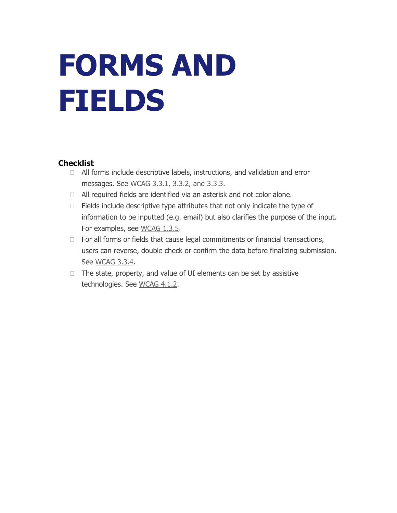### <span id="page-10-0"></span>**FORMS AND FIELDS**

- $\Box$  All forms include descriptive labels, instructions, and validation and error messages. See [WCAG 3.3.1, 3.3.2, and 3.3.3.](https://www.w3.org/WAI/WCAG21/quickref/#keyboard-accessible)
- □ All required fields are identified via an asterisk and not color alone.
- $\Box$  Fields include descriptive type attributes that not only indicate the type of information to be inputted (e.g. email) but also clarifies the purpose of the input. For examples, see [WCAG 1.3.5.](https://www.w3.org/WAI/WCAG21/quickref/#info-and-relationships)
- $\Box$  For all forms or fields that cause legal commitments or financial transactions, users can reverse, double check or confirm the data before finalizing submission. See [WCAG 3.3.4.](https://www.w3.org/WAI/WCAG21/quickref/#keyboard-accessible)
- $\Box$  The state, property, and value of UI elements can be set by assistive technologies. See [WCAG 4.1.2.](https://www.w3.org/WAI/WCAG21/Understanding/name-role-value.html)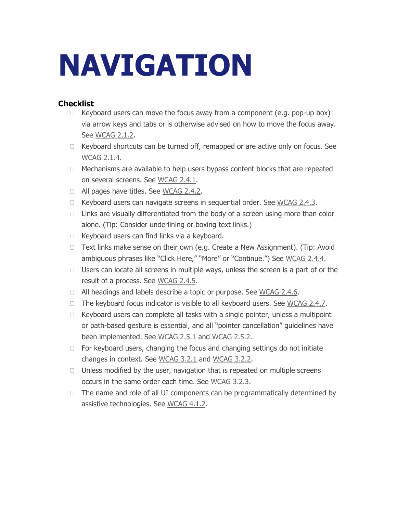### **NAVIGATION**

- $\Box$  Keyboard users can move the focus away from a component (e.g. pop-up box) via arrow keys and tabs or is otherwise advised on how to move the focus away. See [WCAG 2.1.2.](https://www.w3.org/WAI/WCAG21/quickref/#keyboard-accessible)
- $\Box$  Keyboard shortcuts can be turned off, remapped or are active only on focus. See [WCAG 2.1.4.](https://www.w3.org/WAI/WCAG21/quickref/#keyboard-accessible)
- $\Box$  Mechanisms are available to help users bypass content blocks that are repeated on several screens. See [WCAG 2.4.1.](https://www.w3.org/WAI/WCAG21/quickref/#keyboard-accessible)
- □ All pages have titles. See [WCAG 2.4.2.](https://www.w3.org/WAI/WCAG21/quickref/#keyboard-accessible)
- $\Box$  Keyboard users can navigate screens in sequential order. See [WCAG 2.4.3.](https://www.w3.org/WAI/WCAG21/quickref/#keyboard-accessible)
- $\Box$  Links are visually differentiated from the body of a screen using more than color alone. (Tip: Consider underlining or boxing text links.)
- $\Box$  Keyboard users can find links via a keyboard.
- □ Text links make sense on their own (e.g. Create a New Assignment). (Tip: Avoid ambiguous phrases like "Click Here," "More" or "Continue.") See [WCAG 2.4.4.](https://www.w3.org/WAI/WCAG21/quickref/#keyboard-accessible)
- $\Box$  Users can locate all screens in multiple ways, unless the screen is a part of or the result of a process. See [WCAG 2.4.5.](https://www.w3.org/WAI/WCAG21/quickref/#keyboard-accessible)
- $\Box$  All headings and labels describe a topic or purpose. See [WCAG 2.4.6.](https://www.w3.org/WAI/WCAG21/quickref/#keyboard-accessible)
- $\Box$  The keyboard focus indicator is visible to all keyboard users. See [WCAG 2.4.7.](https://www.w3.org/WAI/WCAG21/quickref/#keyboard-accessible)
- $\Box$  Keyboard users can complete all tasks with a single pointer, unless a multipoint or path-based gesture is essential, and all "pointer cancellation" guidelines have been implemented. See [WCAG 2.5.1](https://www.w3.org/WAI/WCAG21/quickref/#keyboard-accessible) and [WCAG 2.5.2.](https://www.w3.org/WAI/WCAG21/quickref/#keyboard-accessible)
- $\Box$  For keyboard users, changing the focus and changing settings do not initiate changes in context. See [WCAG 3.2.1](https://www.w3.org/WAI/WCAG21/quickref/#keyboard-accessible) and [WCAG 3.2.2.](https://www.w3.org/WAI/WCAG21/quickref/#keyboard-accessible)
- $\Box$  Unless modified by the user, navigation that is repeated on multiple screens occurs in the same order each time. See [WCAG 3.2.3.](https://www.w3.org/WAI/WCAG21/quickref/#keyboard-accessible)
- $\Box$  The name and role of all UI components can be programmatically determined by assistive technologies. See [WCAG 4.1.2.](https://www.w3.org/WAI/WCAG21/Understanding/name-role-value.html)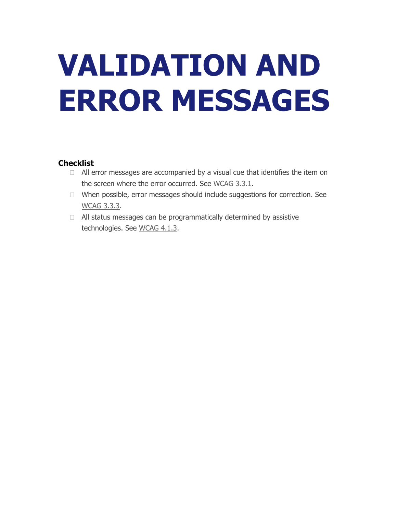# <span id="page-12-0"></span>**VALIDATION AND ERROR MESSAGES**

- $\Box$  All error messages are accompanied by a visual cue that identifies the item on the screen where the error occurred. See [WCAG 3.3.1.](https://www.w3.org/WAI/WCAG21/quickref/#keyboard-accessible)
- When possible, error messages should include suggestions for correction. See [WCAG 3.3.3.](https://www.w3.org/WAI/WCAG21/quickref/#keyboard-accessible)
- $\Box$  All status messages can be programmatically determined by assistive technologies. See [WCAG 4.1.3.](https://www.w3.org/WAI/WCAG21/Understanding/name-role-value.html)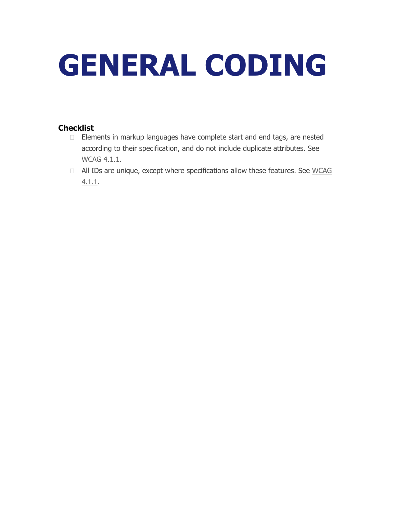# <span id="page-13-0"></span>**GENERAL CODING**

- □ Elements in markup languages have complete start and end tags, are nested according to their specification, and do not include duplicate attributes. See [WCAG 4.1.1.](https://www.w3.org/WAI/WCAG21/Understanding/parsing.html)
- $\Box$  All IDs are unique, except where specifications allow these features. See WCAG [4.1.1.](https://www.w3.org/WAI/WCAG21/Understanding/parsing.html)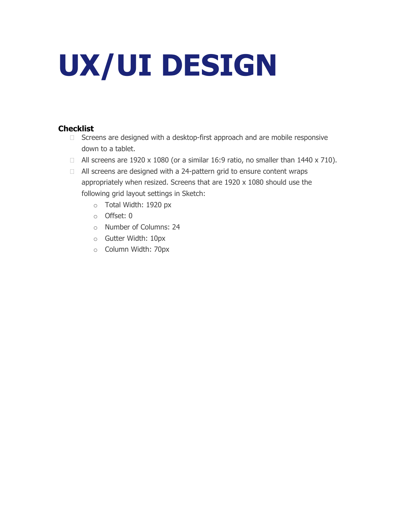# <span id="page-14-0"></span>**UX/UI DESIGN**

- $\Box$  Screens are designed with a desktop-first approach and are mobile responsive down to a tablet.
- $\Box$  All screens are 1920 x 1080 (or a similar 16:9 ratio, no smaller than 1440 x 710).
- □ All screens are designed with a 24-pattern grid to ensure content wraps appropriately when resized. Screens that are 1920 x 1080 should use the following grid layout settings in Sketch:
	- o Total Width: 1920 px
	- o Offset: 0
	- o Number of Columns: 24
	- o Gutter Width: 10px
	- o Column Width: 70px